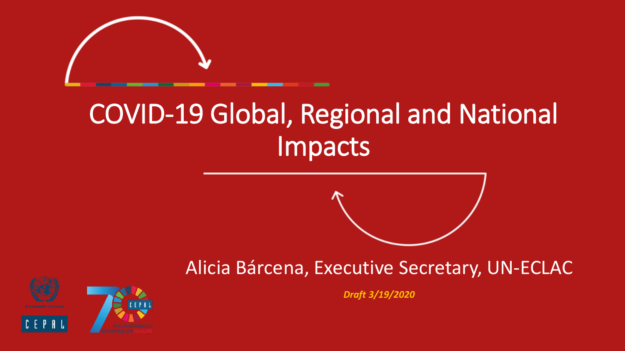

# COVID-19 Global, Regional and National Impacts





*Draft 3/19/2020*



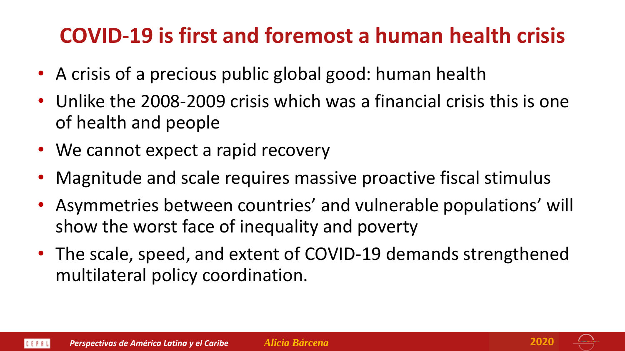## **COVID-19 is first and foremost a human health crisis**

- A crisis of a precious public global good: human health
- Unlike the 2008-2009 crisis which was a financial crisis this is one of health and people
- We cannot expect a rapid recovery
- Magnitude and scale requires massive proactive fiscal stimulus
- Asymmetries between countries' and vulnerable populations' will show the worst face of inequality and poverty
- The scale, speed, and extent of COVID-19 demands strengthened multilateral policy coordination.



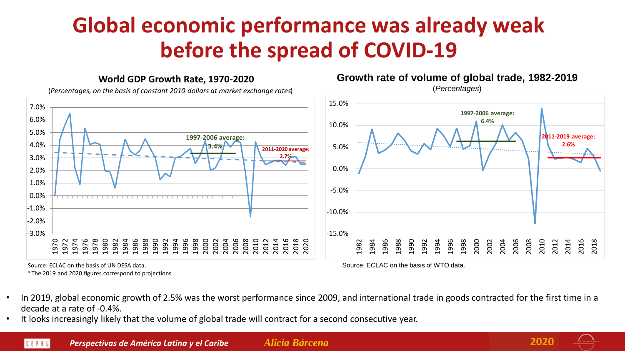## **Global economic performance was already weak before the spread of COVID-19**

#### **World GDP Growth Rate, 1970-2020**

(*Percentages, on the basis of constant 2010 dollars at market exchange rates*)



Source: ECLAC on the basis of UN DESA data.

<sup>a</sup> The 2019 and 2020 figures correspond to projections

Source: ECLAC on the basis of WTO data.

**Growth rate of volume of global trade, 1982-2019** (*Percentages*)

- In 2019, global economic growth of 2.5% was the worst performance since 2009, and international trade in goods contracted for the first time in a decade at a rate of -0.4%.
- It looks increasingly likely that the volume of global trade will contract for a second consecutive year.

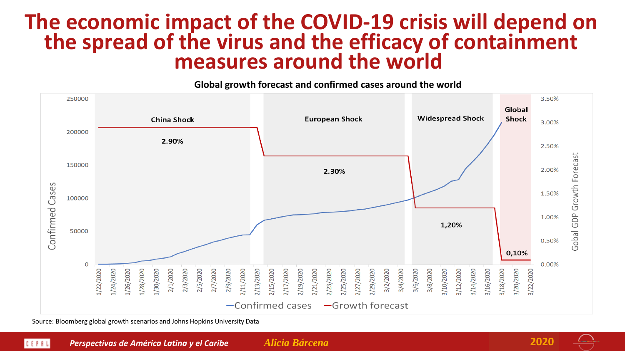#### **The economic impact of the COVID-19 crisis will depend on the spread of the virus and the efficacy of containment measures around the world**

**Global growth forecast and confirmed cases around the world**



Source: Bloomberg global growth scenarios and Johns Hopkins University Data

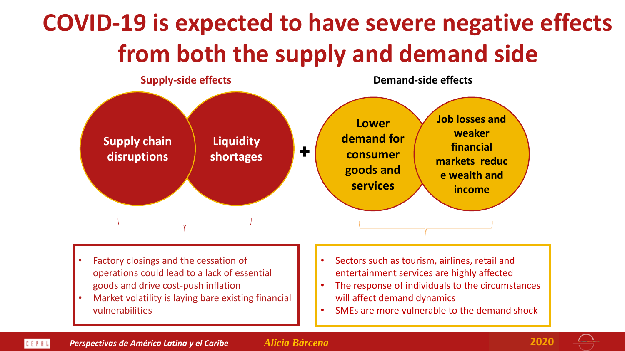# **COVID-19 is expected to have severe negative effects from both the supply and demand side**



- Factory closings and the cessation of operations could lead to a lack of essential goods and drive cost-push inflation
- Market volatility is laying bare existing financial vulnerabilities
- Sectors such as tourism, airlines, retail and entertainment services are highly affected
- The response of individuals to the circumstances will affect demand dynamics
- SMEs are more vulnerable to the demand shock

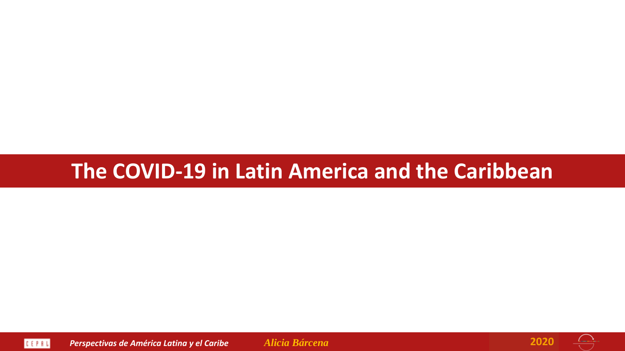#### **The COVID-19 in Latin America and the Caribbean**



*Perspectivas de América Latina y el Caribe Alicia Bárcena* **2020**



 $\overline{\phantom{a}}$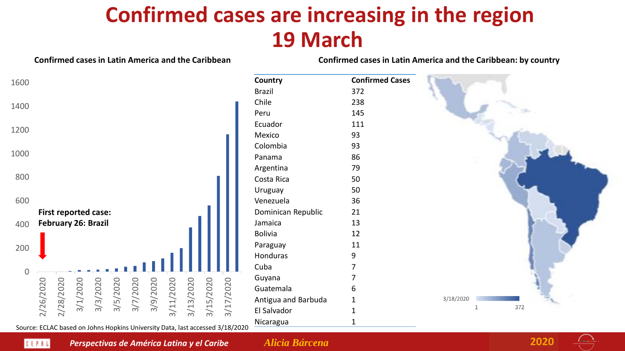### **Confirmed cases are increasing in the region 19 March**



Source: ECLAC based on Johns Hopkins University Data, last accessed 3/18/2020



*Perspectivas de América Latina y el Caribe Alicia Bárcena* **2020**

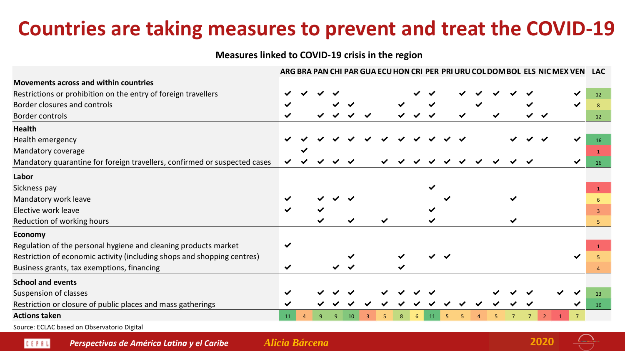### **Countries are taking measures to prevent and treat the COVID-19**

**Measures linked to COVID-19 crisis in the region**

|                                                                           |              |  |  |  |  |  |  |  | ARG BRA PAN CHI PAR GUA ECU HON CRI PER PRI URU COL DOM BOL ELS NIC MEX VEN | <b>LAC</b>   |
|---------------------------------------------------------------------------|--------------|--|--|--|--|--|--|--|-----------------------------------------------------------------------------|--------------|
| <b>Movements across and within countries</b>                              |              |  |  |  |  |  |  |  |                                                                             |              |
| Restrictions or prohibition on the entry of foreign travellers            |              |  |  |  |  |  |  |  |                                                                             | 12           |
| Border closures and controls                                              |              |  |  |  |  |  |  |  |                                                                             |              |
| Border controls                                                           | ✔            |  |  |  |  |  |  |  |                                                                             | 12           |
| <b>Health</b>                                                             |              |  |  |  |  |  |  |  |                                                                             |              |
| Health emergency                                                          |              |  |  |  |  |  |  |  |                                                                             | <b>16</b>    |
| Mandatory coverage                                                        |              |  |  |  |  |  |  |  |                                                                             |              |
| Mandatory quarantine for foreign travellers, confirmed or suspected cases |              |  |  |  |  |  |  |  |                                                                             | 16           |
| Labor                                                                     |              |  |  |  |  |  |  |  |                                                                             |              |
| Sickness pay                                                              |              |  |  |  |  |  |  |  |                                                                             | $\mathbf{1}$ |
| Mandatory work leave                                                      |              |  |  |  |  |  |  |  |                                                                             |              |
| Elective work leave                                                       | ✔            |  |  |  |  |  |  |  |                                                                             |              |
| Reduction of working hours                                                |              |  |  |  |  |  |  |  |                                                                             |              |
| <b>Economy</b>                                                            |              |  |  |  |  |  |  |  |                                                                             |              |
| Regulation of the personal hygiene and cleaning products market           | ✔            |  |  |  |  |  |  |  |                                                                             |              |
| Restriction of economic activity (including shops and shopping centres)   |              |  |  |  |  |  |  |  |                                                                             |              |
| Business grants, tax exemptions, financing                                | $\checkmark$ |  |  |  |  |  |  |  |                                                                             |              |
| <b>School and events</b>                                                  |              |  |  |  |  |  |  |  |                                                                             |              |
| Suspension of classes                                                     |              |  |  |  |  |  |  |  |                                                                             | 13           |
| Restriction or closure of public places and mass gatherings               |              |  |  |  |  |  |  |  |                                                                             | 16           |
| <b>Actions taken</b>                                                      | 11           |  |  |  |  |  |  |  |                                                                             |              |
|                                                                           |              |  |  |  |  |  |  |  |                                                                             |              |

Source: ECLAC based on Observatorio Digital

CEPRU

*Perspectivas de América Latina y el Caribe Alicia Bárcena* **2020**

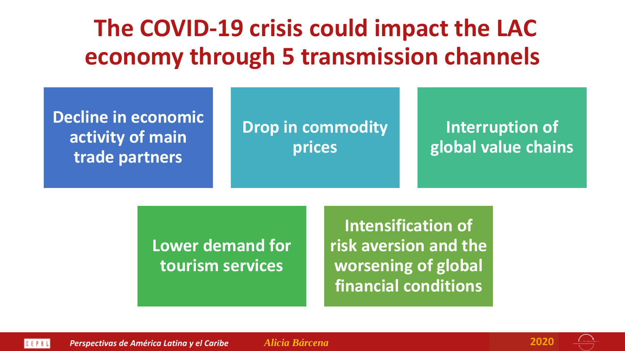# **The COVID-19 crisis could impact the LAC economy through 5 transmission channels**

| <b>Decline in economic</b><br>activity of main<br>trade partners | <b>Drop in commodity</b><br>prices | Interruption of<br>global value chains |
|------------------------------------------------------------------|------------------------------------|----------------------------------------|
|                                                                  |                                    |                                        |

**Lower demand for tourism services**

**Intensification of risk aversion and the worsening of global financial conditions**



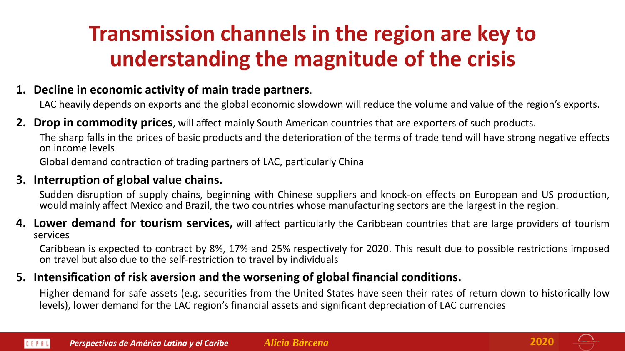## **Transmission channels in the region are key to understanding the magnitude of the crisis**

#### **1. Decline in economic activity of main trade partners**.

LAC heavily depends on exports and the global economic slowdown will reduce the volume and value of the region's exports.

**2. Drop in commodity prices**, will affect mainly South American countries that are exporters of such products.

The sharp falls in the prices of basic products and the deterioration of the terms of trade tend will have strong negative effects on income levels

Global demand contraction of trading partners of LAC, particularly China

#### **3. Interruption of global value chains.**

Sudden disruption of supply chains, beginning with Chinese suppliers and knock-on effects on European and US production, would mainly affect Mexico and Brazil, the two countries whose manufacturing sectors are the largest in the region.

**4. Lower demand for tourism services,** will affect particularly the Caribbean countries that are large providers of tourism services

Caribbean is expected to contract by 8%, 17% and 25% respectively for 2020. This result due to possible restrictions imposed on travel but also due to the self-restriction to travel by individuals

#### **5. Intensification of risk aversion and the worsening of global financial conditions.**

Higher demand for safe assets (e.g. securities from the United States have seen their rates of return down to historically low levels), lower demand for the LAC region's financial assets and significant depreciation of LAC currencies

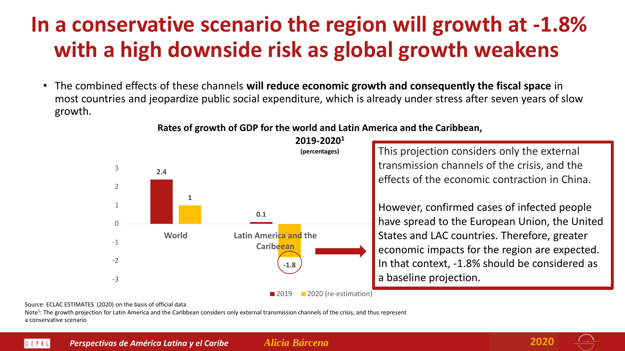### **In a conservative scenario the region will growth at -1.8% with a high downside risk as global growth weakens**

• The combined effects of these channels **will reduce economic growth and consequently the fiscal space** in most countries and jeopardize public social expenditure, which is already under stress after seven years of slow growth.

#### **Rates of growth of GDP for the world and Latin America and the Caribbean, 2019-2020<sup>1</sup>**



This projection considers only the external transmission channels of the crisis, and the effects of the economic contraction in China.

However, confirmed cases of infected people have spread to the European Union, the United States and LAC countries. Therefore, greater economic impacts for the region are expected. In that context, -1.8% should be considered as a baseline projection.

**2019** 2020 (re-estimation)

#### Source: ECLAC ESTIMATES (2020) on the basis of official data

Note<sup>1</sup>: The growth projection for Latin America and the Caribbean considers only external transmission channels of the crisis, and thus represent a conservative scenario



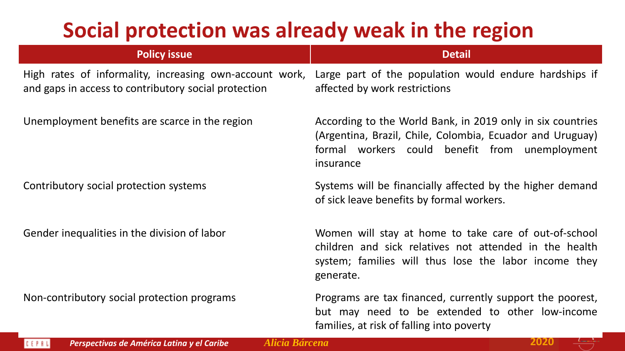### **Social protection was already weak in the region**

| <b>Policy issue</b>                                                                                             | <b>Detail</b>                                                                                                                                                                          |
|-----------------------------------------------------------------------------------------------------------------|----------------------------------------------------------------------------------------------------------------------------------------------------------------------------------------|
| High rates of informality, increasing own-account work,<br>and gaps in access to contributory social protection | Large part of the population would endure hardships if<br>affected by work restrictions                                                                                                |
| Unemployment benefits are scarce in the region                                                                  | According to the World Bank, in 2019 only in six countries<br>(Argentina, Brazil, Chile, Colombia, Ecuador and Uruguay)<br>formal workers could benefit from unemployment<br>insurance |
| Contributory social protection systems                                                                          | Systems will be financially affected by the higher demand<br>of sick leave benefits by formal workers.                                                                                 |
| Gender inequalities in the division of labor                                                                    | Women will stay at home to take care of out-of-school<br>children and sick relatives not attended in the health<br>system; families will thus lose the labor income they<br>generate.  |
| Non-contributory social protection programs                                                                     | Programs are tax financed, currently support the poorest,<br>but may need to be extended to other low-income                                                                           |

families, at risk of falling into poverty

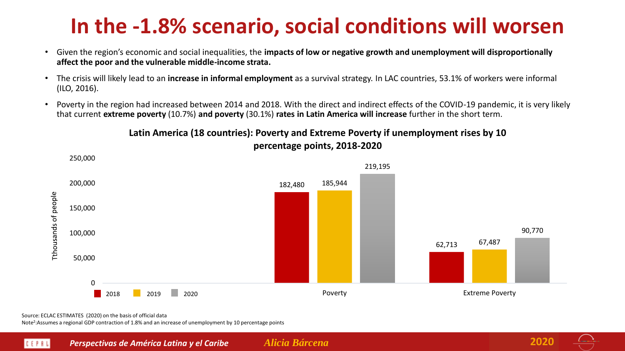## **In the -1.8% scenario, social conditions will worsen**

- Given the region's economic and social inequalities, the **impacts of low or negative growth and unemployment will disproportionally affect the poor and the vulnerable middle-income strata.**
- The crisis will likely lead to an **increase in informal employment** as a survival strategy. In LAC countries, 53.1% of workers were informal (ILO, 2016).
- Poverty in the region had increased between 2014 and 2018. With the direct and indirect effects of the COVID-19 pandemic, it is very likely that current **extreme poverty** (10.7%) **and poverty** (30.1%) **rates in Latin America will increase** further in the short term.

#### **Latin America (18 countries): Poverty and Extreme Poverty if unemployment rises by 10 percentage points, 2018-2020**



Source: ECLAC ESTIMATES (2020) on the basis of official data

Note<sup>2</sup>:Assumes a regional GDP contraction of 1.8% and an increase of unemployment by 10 percentage points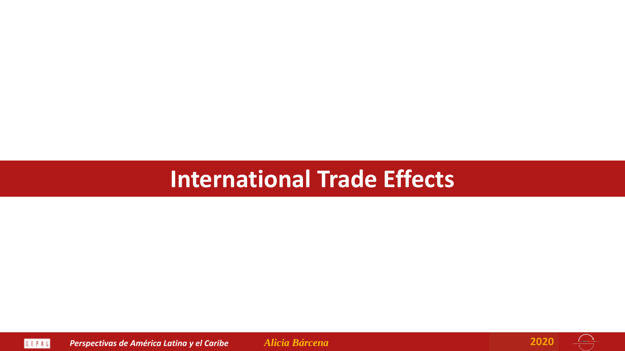## **International Trade Effects**





 $\overline{\mathord{\leftrightarrow}}$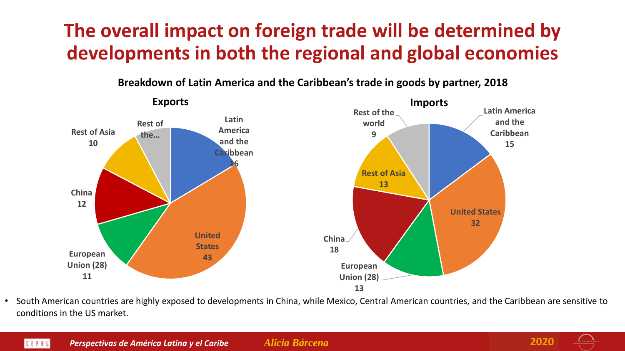#### **The overall impact on foreign trade will be determined by developments in both the regional and global economies**



**Breakdown of Latin America and the Caribbean's trade in goods by partner, 2018**

• South American countries are highly exposed to developments in China, while Mexico, Central American countries, and the Caribbean are sensitive to conditions in the US market.



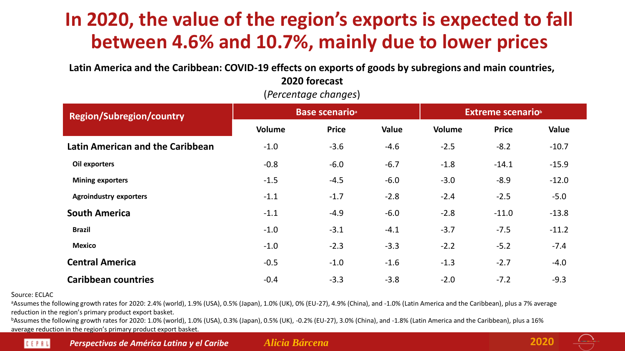#### **In 2020, the value of the region's exports is expected to fall between 4.6% and 10.7%, mainly due to lower prices**

**Latin America and the Caribbean: COVID-19 effects on exports of goods by subregions and main countries, 2020 forecast**

| <b>Region/Subregion/country</b>         |               | <b>Base scenario</b> <sup>a</sup> |        | <b>Extreme scenario</b> |              |         |  |  |
|-----------------------------------------|---------------|-----------------------------------|--------|-------------------------|--------------|---------|--|--|
|                                         | <b>Volume</b> | <b>Price</b>                      | Value  | Volume                  | <b>Price</b> | Value   |  |  |
| <b>Latin American and the Caribbean</b> | $-1.0$        | $-3.6$                            | $-4.6$ | $-2.5$                  | $-8.2$       | $-10.7$ |  |  |
| Oil exporters                           | $-0.8$        | $-6.0$                            | $-6.7$ | $-1.8$                  | $-14.1$      | $-15.9$ |  |  |
| <b>Mining exporters</b>                 | $-1.5$        | $-4.5$                            | $-6.0$ | $-3.0$                  | $-8.9$       | $-12.0$ |  |  |
| <b>Agroindustry exporters</b>           | $-1.1$        | $-1.7$                            | $-2.8$ | $-2.4$                  | $-2.5$       | $-5.0$  |  |  |
| <b>South America</b>                    | $-1.1$        | $-4.9$                            | $-6.0$ | $-2.8$                  | $-11.0$      | $-13.8$ |  |  |
| <b>Brazil</b>                           | $-1.0$        | $-3.1$                            | $-4.1$ | $-3.7$                  | $-7.5$       | $-11.2$ |  |  |
| <b>Mexico</b>                           | $-1.0$        | $-2.3$                            | $-3.3$ | $-2.2$                  | $-5.2$       | $-7.4$  |  |  |
| <b>Central America</b>                  | $-0.5$        | $-1.0$                            | $-1.6$ | $-1.3$                  | $-2.7$       | $-4.0$  |  |  |
| <b>Caribbean countries</b>              | $-0.4$        | $-3.3$                            | $-3.8$ | $-2.0$                  | $-7.2$       | $-9.3$  |  |  |

(*Percentage changes*)

#### Source: ECLAC

<sup>a</sup>Assumes the following growth rates for 2020: 2.4% (world), 1.9% (USA), 0.5% (Japan), 1.0% (UK), 0% (EU-27), 4.9% (China), and -1.0% (Latin America and the Caribbean), plus a 7% average reduction in the region's primary product export basket.

bAssumes the following growth rates for 2020: 1.0% (world), 1.0% (USA), 0.3% (Japan), 0.5% (UK), -0.2% (EU-27), 3.0% (China), and -1.8% (Latin America and the Caribbean), plus a 16% average reduction in the region's primary product export basket.



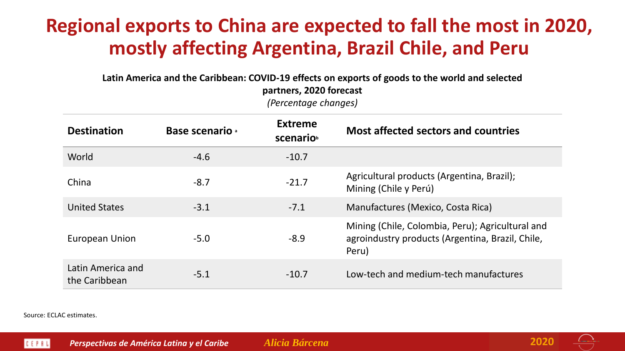#### **Regional exports to China are expected to fall the most in 2020, mostly affecting Argentina, Brazil Chile, and Peru**

**Latin America and the Caribbean: COVID-19 effects on exports of goods to the world and selected partners, 2020 forecast**

*(Percentage changes)*

| <b>Destination</b>                 | <b>Base scenario</b> | <b>Extreme</b><br>scenario | <b>Most affected sectors and countries</b>                                                                    |
|------------------------------------|----------------------|----------------------------|---------------------------------------------------------------------------------------------------------------|
| World                              | $-4.6$               | $-10.7$                    |                                                                                                               |
| China                              | $-8.7$               | $-21.7$                    | Agricultural products (Argentina, Brazil);<br>Mining (Chile y Perú)                                           |
| <b>United States</b>               | $-3.1$               | $-7.1$                     | Manufactures (Mexico, Costa Rica)                                                                             |
| European Union                     | $-5.0$               | $-8.9$                     | Mining (Chile, Colombia, Peru); Agricultural and<br>agroindustry products (Argentina, Brazil, Chile,<br>Peru) |
| Latin America and<br>the Caribbean | $-5.1$               | $-10.7$                    | Low-tech and medium-tech manufactures                                                                         |

Source: ECLAC estimates.

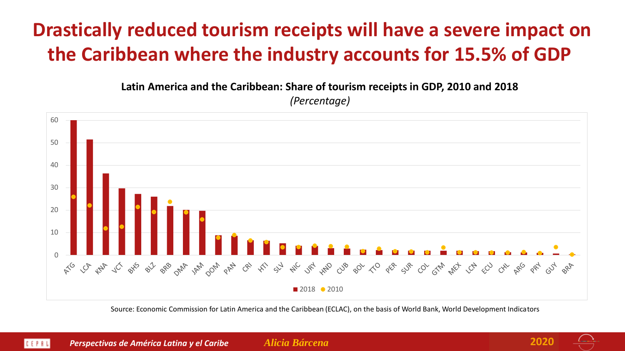### **Drastically reduced tourism receipts will have a severe impact on the Caribbean where the industry accounts for 15.5% of GDP**

**Latin America and the Caribbean: Share of tourism receipts in GDP, 2010 and 2018**

*(Percentage)*



Source: Economic Commission for Latin America and the Caribbean (ECLAC), on the basis of World Bank, World Development Indicators

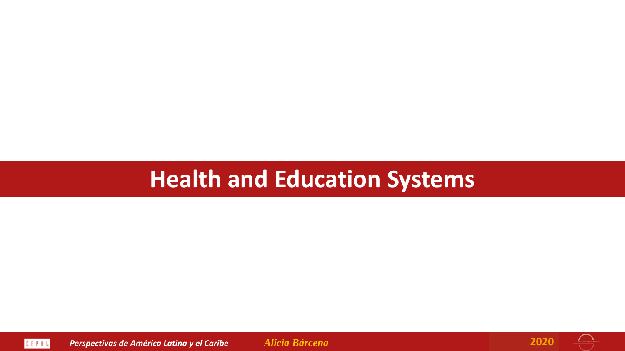# **Health and Education Systems**





 $\overrightarrow{C}$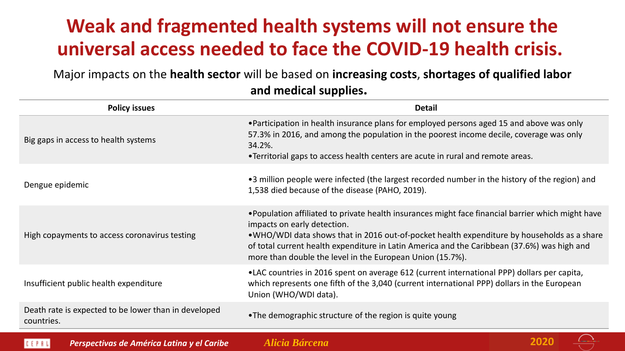#### **Weak and fragmented health systems will not ensure the universal access needed to face the COVID-19 health crisis.**

Major impacts on the **health sector** will be based on **increasing costs**, **shortages of qualified labor and medical supplies.** 

| <b>Policy issues</b>                                               | <b>Detail</b>                                                                                                                                                                                                                                                                                                                                                                               |
|--------------------------------------------------------------------|---------------------------------------------------------------------------------------------------------------------------------------------------------------------------------------------------------------------------------------------------------------------------------------------------------------------------------------------------------------------------------------------|
| Big gaps in access to health systems                               | •Participation in health insurance plans for employed persons aged 15 and above was only<br>57.3% in 2016, and among the population in the poorest income decile, coverage was only<br>34.2%.<br>•Territorial gaps to access health centers are acute in rural and remote areas.                                                                                                            |
| Dengue epidemic                                                    | •3 million people were infected (the largest recorded number in the history of the region) and<br>1,538 died because of the disease (PAHO, 2019).                                                                                                                                                                                                                                           |
| High copayments to access coronavirus testing                      | . Population affiliated to private health insurances might face financial barrier which might have<br>impacts on early detection.<br>•WHO/WDI data shows that in 2016 out-of-pocket health expenditure by households as a share<br>of total current health expenditure in Latin America and the Caribbean (37.6%) was high and<br>more than double the level in the European Union (15.7%). |
| Insufficient public health expenditure                             | •LAC countries in 2016 spent on average 612 (current international PPP) dollars per capita,<br>which represents one fifth of the 3,040 (current international PPP) dollars in the European<br>Union (WHO/WDI data).                                                                                                                                                                         |
| Death rate is expected to be lower than in developed<br>countries. | •The demographic structure of the region is quite young                                                                                                                                                                                                                                                                                                                                     |



*Perspectivas de América Latina y el Caribe Alicia Bárcena* **2020**

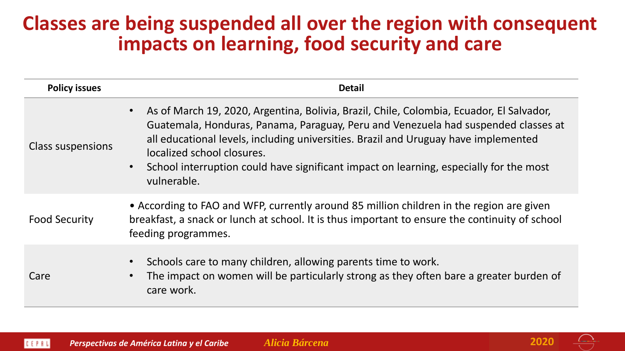#### **Classes are being suspended all over the region with consequent impacts on learning, food security and care**

| <b>Policy issues</b>     | <b>Detail</b>                                                                                                                                                                                                                                                                                                                                                                                                                          |
|--------------------------|----------------------------------------------------------------------------------------------------------------------------------------------------------------------------------------------------------------------------------------------------------------------------------------------------------------------------------------------------------------------------------------------------------------------------------------|
| <b>Class suspensions</b> | As of March 19, 2020, Argentina, Bolivia, Brazil, Chile, Colombia, Ecuador, El Salvador,<br>$\bullet$<br>Guatemala, Honduras, Panama, Paraguay, Peru and Venezuela had suspended classes at<br>all educational levels, including universities. Brazil and Uruguay have implemented<br>localized school closures.<br>School interruption could have significant impact on learning, especially for the most<br>$\bullet$<br>vulnerable. |
| <b>Food Security</b>     | • According to FAO and WFP, currently around 85 million children in the region are given<br>breakfast, a snack or lunch at school. It is thus important to ensure the continuity of school<br>feeding programmes.                                                                                                                                                                                                                      |
| Care                     | Schools care to many children, allowing parents time to work.<br>$\bullet$<br>The impact on women will be particularly strong as they often bare a greater burden of<br>$\bullet$<br>care work.                                                                                                                                                                                                                                        |

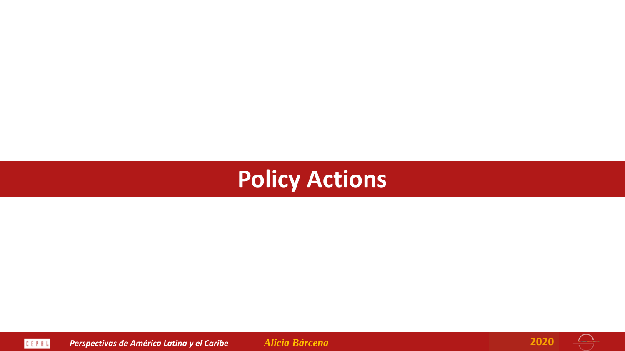





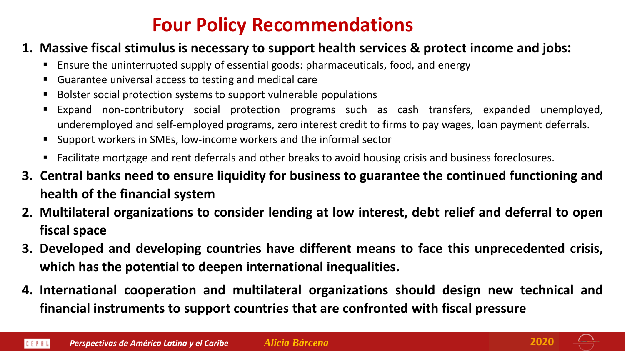#### **Four Policy Recommendations**

#### **1. Massive fiscal stimulus is necessary to support health services & protect income and jobs:**

- Ensure the uninterrupted supply of essential goods: pharmaceuticals, food, and energy
- Guarantee universal access to testing and medical care
- Bolster social protection systems to support vulnerable populations
- Expand non-contributory social protection programs such as cash transfers, expanded unemployed, underemployed and self-employed programs, zero interest credit to firms to pay wages, loan payment deferrals.
- Support workers in SMEs, low-income workers and the informal sector
- Facilitate mortgage and rent deferrals and other breaks to avoid housing crisis and business foreclosures.
- **3. Central banks need to ensure liquidity for business to guarantee the continued functioning and health of the financial system**
- **2. Multilateral organizations to consider lending at low interest, debt relief and deferral to open fiscal space**
- **3. Developed and developing countries have different means to face this unprecedented crisis, which has the potential to deepen international inequalities.**
- **4. International cooperation and multilateral organizations should design new technical and financial instruments to support countries that are confronted with fiscal pressure**